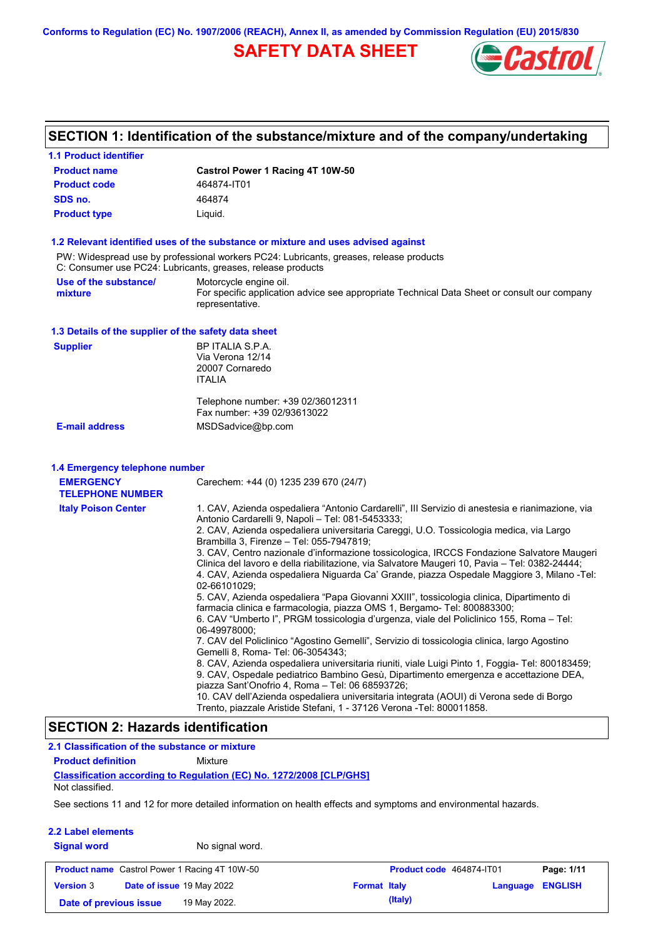**Conforms to Regulation (EC) No. 1907/2006 (REACH), Annex II, as amended by Commission Regulation (EU) 2015/830**

# **SAFETY DATA SHEET**



# **SECTION 1: Identification of the substance/mixture and of the company/undertaking**

| Castrol Power 1 Racing 4T 10W-50                                                                                                                                                                                                                                                                                                                                                                                                                                                                                                                                                                                                                                                                                                                                                                                                                                                                                                                                                                                                                                                                                              |
|-------------------------------------------------------------------------------------------------------------------------------------------------------------------------------------------------------------------------------------------------------------------------------------------------------------------------------------------------------------------------------------------------------------------------------------------------------------------------------------------------------------------------------------------------------------------------------------------------------------------------------------------------------------------------------------------------------------------------------------------------------------------------------------------------------------------------------------------------------------------------------------------------------------------------------------------------------------------------------------------------------------------------------------------------------------------------------------------------------------------------------|
| 464874-IT01                                                                                                                                                                                                                                                                                                                                                                                                                                                                                                                                                                                                                                                                                                                                                                                                                                                                                                                                                                                                                                                                                                                   |
| 464874                                                                                                                                                                                                                                                                                                                                                                                                                                                                                                                                                                                                                                                                                                                                                                                                                                                                                                                                                                                                                                                                                                                        |
| Liquid.                                                                                                                                                                                                                                                                                                                                                                                                                                                                                                                                                                                                                                                                                                                                                                                                                                                                                                                                                                                                                                                                                                                       |
| 1.2 Relevant identified uses of the substance or mixture and uses advised against                                                                                                                                                                                                                                                                                                                                                                                                                                                                                                                                                                                                                                                                                                                                                                                                                                                                                                                                                                                                                                             |
| PW: Widespread use by professional workers PC24: Lubricants, greases, release products<br>C: Consumer use PC24: Lubricants, greases, release products                                                                                                                                                                                                                                                                                                                                                                                                                                                                                                                                                                                                                                                                                                                                                                                                                                                                                                                                                                         |
| Motorcycle engine oil.<br>For specific application advice see appropriate Technical Data Sheet or consult our company<br>representative.                                                                                                                                                                                                                                                                                                                                                                                                                                                                                                                                                                                                                                                                                                                                                                                                                                                                                                                                                                                      |
| 1.3 Details of the supplier of the safety data sheet                                                                                                                                                                                                                                                                                                                                                                                                                                                                                                                                                                                                                                                                                                                                                                                                                                                                                                                                                                                                                                                                          |
| BP ITALIA S.P.A.<br>Via Verona 12/14<br>20007 Cornaredo<br><b>ITALIA</b>                                                                                                                                                                                                                                                                                                                                                                                                                                                                                                                                                                                                                                                                                                                                                                                                                                                                                                                                                                                                                                                      |
| Telephone number: +39 02/36012311<br>Fax number: +39 02/93613022                                                                                                                                                                                                                                                                                                                                                                                                                                                                                                                                                                                                                                                                                                                                                                                                                                                                                                                                                                                                                                                              |
| MSDSadvice@bp.com                                                                                                                                                                                                                                                                                                                                                                                                                                                                                                                                                                                                                                                                                                                                                                                                                                                                                                                                                                                                                                                                                                             |
| 1.4 Emergency telephone number                                                                                                                                                                                                                                                                                                                                                                                                                                                                                                                                                                                                                                                                                                                                                                                                                                                                                                                                                                                                                                                                                                |
| Carechem: +44 (0) 1235 239 670 (24/7)                                                                                                                                                                                                                                                                                                                                                                                                                                                                                                                                                                                                                                                                                                                                                                                                                                                                                                                                                                                                                                                                                         |
|                                                                                                                                                                                                                                                                                                                                                                                                                                                                                                                                                                                                                                                                                                                                                                                                                                                                                                                                                                                                                                                                                                                               |
| 1. CAV, Azienda ospedaliera "Antonio Cardarelli", III Servizio di anestesia e rianimazione, via<br>Antonio Cardarelli 9, Napoli - Tel: 081-5453333;<br>2. CAV, Azienda ospedaliera universitaria Careggi, U.O. Tossicologia medica, via Largo<br>Brambilla 3, Firenze - Tel: 055-7947819;<br>3. CAV, Centro nazionale d'informazione tossicologica, IRCCS Fondazione Salvatore Maugeri<br>Clinica del lavoro e della riabilitazione, via Salvatore Maugeri 10, Pavia – Tel: 0382-24444;<br>4. CAV, Azienda ospedaliera Niguarda Ca' Grande, piazza Ospedale Maggiore 3, Milano -Tel:<br>02-66101029;<br>5. CAV, Azienda ospedaliera "Papa Giovanni XXIII", tossicologia clinica, Dipartimento di<br>farmacia clinica e farmacologia, piazza OMS 1, Bergamo- Tel: 800883300;<br>6. CAV "Umberto I", PRGM tossicologia d'urgenza, viale del Policlinico 155, Roma – Tel:<br>06-49978000;<br>7. CAV del Policlinico "Agostino Gemelli", Servizio di tossicologia clinica, largo Agostino<br>Gemelli 8, Roma- Tel: 06-3054343;<br>8. CAV, Azienda ospedaliera universitaria riuniti, viale Luigi Pinto 1, Foggia- Tel: 800183459; |
|                                                                                                                                                                                                                                                                                                                                                                                                                                                                                                                                                                                                                                                                                                                                                                                                                                                                                                                                                                                                                                                                                                                               |

# **2.1 Classification of the substance or mixture**

**Product definition** Mixture

**Classification according to Regulation (EC) No. 1272/2008 [CLP/GHS]**

Not classified.

See sections 11 and 12 for more detailed information on health effects and symptoms and environmental hazards.

| 2.2 Label elements     |                                                      |                          |                            |  |  |
|------------------------|------------------------------------------------------|--------------------------|----------------------------|--|--|
| <b>Signal word</b>     | No signal word.                                      |                          |                            |  |  |
|                        | <b>Product name</b> Castrol Power 1 Racing 4T 10W-50 | Product code 464874-IT01 | Page: 1/11                 |  |  |
| <b>Version 3</b>       | <b>Date of issue 19 May 2022</b>                     | <b>Format Italy</b>      | <b>ENGLISH</b><br>Language |  |  |
| Date of previous issue | 19 May 2022.                                         | (Italy)                  |                            |  |  |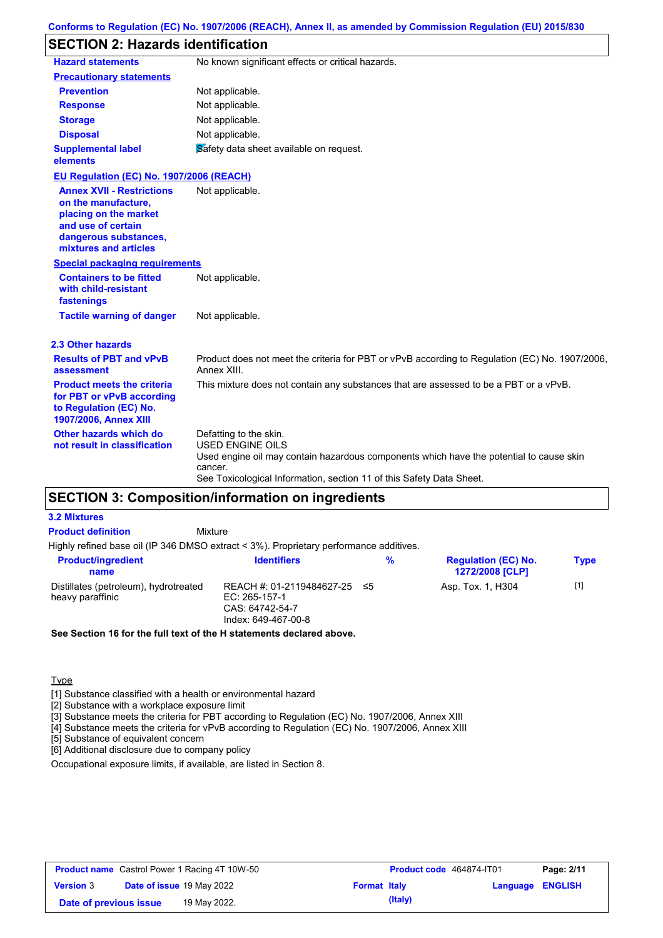# **SECTION 2: Hazards identification**

| <b>Hazard statements</b>                                                                                                                                 | No known significant effects or critical hazards.                                                                                                                                                                               |
|----------------------------------------------------------------------------------------------------------------------------------------------------------|---------------------------------------------------------------------------------------------------------------------------------------------------------------------------------------------------------------------------------|
| <b>Precautionary statements</b>                                                                                                                          |                                                                                                                                                                                                                                 |
| <b>Prevention</b>                                                                                                                                        | Not applicable.                                                                                                                                                                                                                 |
| <b>Response</b>                                                                                                                                          | Not applicable.                                                                                                                                                                                                                 |
| <b>Storage</b>                                                                                                                                           | Not applicable.                                                                                                                                                                                                                 |
| <b>Disposal</b>                                                                                                                                          | Not applicable.                                                                                                                                                                                                                 |
| <b>Supplemental label</b><br>elements                                                                                                                    | Safety data sheet available on request.                                                                                                                                                                                         |
| EU Regulation (EC) No. 1907/2006 (REACH)                                                                                                                 |                                                                                                                                                                                                                                 |
| <b>Annex XVII - Restrictions</b><br>on the manufacture,<br>placing on the market<br>and use of certain<br>dangerous substances,<br>mixtures and articles | Not applicable.                                                                                                                                                                                                                 |
| <b>Special packaging requirements</b>                                                                                                                    |                                                                                                                                                                                                                                 |
| <b>Containers to be fitted</b><br>with child-resistant<br>fastenings                                                                                     | Not applicable.                                                                                                                                                                                                                 |
| <b>Tactile warning of danger</b>                                                                                                                         | Not applicable.                                                                                                                                                                                                                 |
| 2.3 Other hazards                                                                                                                                        |                                                                                                                                                                                                                                 |
| <b>Results of PBT and vPvB</b><br>assessment                                                                                                             | Product does not meet the criteria for PBT or vPvB according to Regulation (EC) No. 1907/2006,<br>Annex XIII.                                                                                                                   |
| <b>Product meets the criteria</b><br>for PBT or vPvB according<br>to Regulation (EC) No.<br><b>1907/2006, Annex XIII</b>                                 | This mixture does not contain any substances that are assessed to be a PBT or a vPvB.                                                                                                                                           |
| Other hazards which do<br>not result in classification<br>-АТІАНА                                                                                        | Defatting to the skin.<br><b>USED ENGINE OILS</b><br>Used engine oil may contain hazardous components which have the potential to cause skin<br>cancer.<br>See Toxicological Information, section 11 of this Safety Data Sheet. |

## **SECTION 3: Composition/information on ingredients**

#### **3.2 Mixtures**

| <b>Product definition</b>                                                              | Mixture                                                                                 |   |                                               |             |
|----------------------------------------------------------------------------------------|-----------------------------------------------------------------------------------------|---|-----------------------------------------------|-------------|
| Highly refined base oil (IP 346 DMSO extract < 3%). Proprietary performance additives. |                                                                                         |   |                                               |             |
| <b>Product/ingredient</b><br>name                                                      | <b>Identifiers</b>                                                                      | % | <b>Regulation (EC) No.</b><br>1272/2008 [CLP] | <b>Type</b> |
| Distillates (petroleum), hydrotreated<br>heavy paraffinic                              | REACH #: 01-2119484627-25 ≤5<br>EC: 265-157-1<br>CAS: 64742-54-7<br>Index: 649-467-00-8 |   | Asp. Tox. 1, H304                             | $[1]$       |

#### **See Section 16 for the full text of the H statements declared above.**

**Type** 

[1] Substance classified with a health or environmental hazard

[2] Substance with a workplace exposure limit

[3] Substance meets the criteria for PBT according to Regulation (EC) No. 1907/2006, Annex XIII

[4] Substance meets the criteria for vPvB according to Regulation (EC) No. 1907/2006, Annex XIII

[5] Substance of equivalent concern

[6] Additional disclosure due to company policy

Occupational exposure limits, if available, are listed in Section 8.

| <b>Product name</b> Castrol Power 1 Racing 4T 10W-50 |                                  |              | <b>Product code</b> 464874-IT01 |         | Page: 2/11       |  |
|------------------------------------------------------|----------------------------------|--------------|---------------------------------|---------|------------------|--|
| <b>Version 3</b>                                     | <b>Date of issue 19 May 2022</b> |              | <b>Format Italy</b>             |         | Language ENGLISH |  |
| Date of previous issue                               |                                  | 19 May 2022. |                                 | (Italy) |                  |  |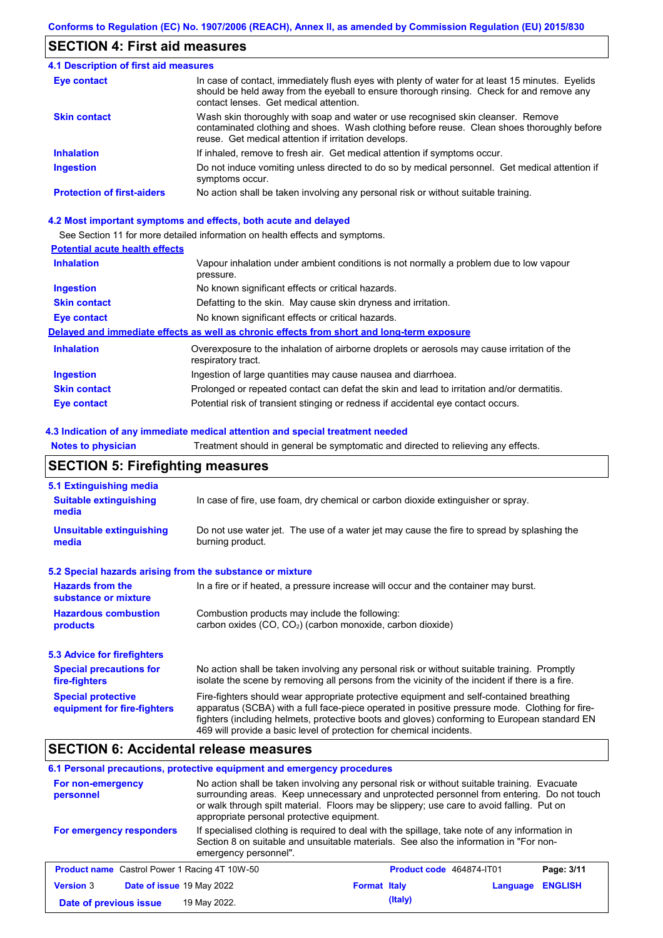## **SECTION 4: First aid measures**

| <b>4.1 Description of first aid measures</b> |                                                                                                                                                                                                                                         |
|----------------------------------------------|-----------------------------------------------------------------------------------------------------------------------------------------------------------------------------------------------------------------------------------------|
| <b>Eye contact</b>                           | In case of contact, immediately flush eyes with plenty of water for at least 15 minutes. Eyelids<br>should be held away from the eyeball to ensure thorough rinsing. Check for and remove any<br>contact lenses. Get medical attention. |
| <b>Skin contact</b>                          | Wash skin thoroughly with soap and water or use recognised skin cleanser. Remove<br>contaminated clothing and shoes. Wash clothing before reuse. Clean shoes thoroughly before<br>reuse. Get medical attention if irritation develops.  |
| <b>Inhalation</b>                            | If inhaled, remove to fresh air. Get medical attention if symptoms occur.                                                                                                                                                               |
| <b>Ingestion</b>                             | Do not induce vomiting unless directed to do so by medical personnel. Get medical attention if<br>symptoms occur.                                                                                                                       |
| <b>Protection of first-aiders</b>            | No action shall be taken involving any personal risk or without suitable training.                                                                                                                                                      |

#### **4.2 Most important symptoms and effects, both acute and delayed**

See Section 11 for more detailed information on health effects and symptoms.

#### **Potential acute health effects**

| <b>Inhalation</b>   | Vapour inhalation under ambient conditions is not normally a problem due to low vapour<br>pressure.               |
|---------------------|-------------------------------------------------------------------------------------------------------------------|
| <b>Ingestion</b>    | No known significant effects or critical hazards.                                                                 |
| <b>Skin contact</b> | Defatting to the skin. May cause skin dryness and irritation.                                                     |
| Eye contact         | No known significant effects or critical hazards.                                                                 |
|                     | Delayed and immediate effects as well as chronic effects from short and long-term exposure                        |
| <b>Inhalation</b>   | Overexposure to the inhalation of airborne droplets or aerosols may cause irritation of the<br>respiratory tract. |
| <b>Ingestion</b>    | Ingestion of large quantities may cause nausea and diarrhoea.                                                     |
| <b>Skin contact</b> | Prolonged or repeated contact can defat the skin and lead to irritation and/or dermatitis.                        |
| Eye contact         | Potential risk of transient stinging or redness if accidental eye contact occurs.                                 |

#### **4.3 Indication of any immediate medical attention and special treatment needed**

**Notes to physician** Treatment should in general be symptomatic and directed to relieving any effects.

# **SECTION 5: Firefighting measures**

| 5.1 Extinguishing media                                   |                                                                                                                                                                                                                                                                                                                                                                   |
|-----------------------------------------------------------|-------------------------------------------------------------------------------------------------------------------------------------------------------------------------------------------------------------------------------------------------------------------------------------------------------------------------------------------------------------------|
| <b>Suitable extinguishing</b><br>media                    | In case of fire, use foam, dry chemical or carbon dioxide extinguisher or spray.                                                                                                                                                                                                                                                                                  |
| <b>Unsuitable extinguishing</b><br>media                  | Do not use water jet. The use of a water jet may cause the fire to spread by splashing the<br>burning product.                                                                                                                                                                                                                                                    |
| 5.2 Special hazards arising from the substance or mixture |                                                                                                                                                                                                                                                                                                                                                                   |
| <b>Hazards from the</b><br>substance or mixture           | In a fire or if heated, a pressure increase will occur and the container may burst.                                                                                                                                                                                                                                                                               |
| <b>Hazardous combustion</b><br>products                   | Combustion products may include the following:<br>carbon oxides (CO, CO <sub>2</sub> ) (carbon monoxide, carbon dioxide)                                                                                                                                                                                                                                          |
| 5.3 Advice for firefighters                               |                                                                                                                                                                                                                                                                                                                                                                   |
| <b>Special precautions for</b><br>fire-fighters           | No action shall be taken involving any personal risk or without suitable training. Promptly<br>isolate the scene by removing all persons from the vicinity of the incident if there is a fire.                                                                                                                                                                    |
| <b>Special protective</b><br>equipment for fire-fighters  | Fire-fighters should wear appropriate protective equipment and self-contained breathing<br>apparatus (SCBA) with a full face-piece operated in positive pressure mode. Clothing for fire-<br>fighters (including helmets, protective boots and gloves) conforming to European standard EN<br>469 will provide a basic level of protection for chemical incidents. |

## **SECTION 6: Accidental release measures**

#### **6.1 Personal precautions, protective equipment and emergency procedures**

| For non-emergency<br>personnel                       | No action shall be taken involving any personal risk or without suitable training. Evacuate<br>surrounding areas. Keep unnecessary and unprotected personnel from entering. Do not touch<br>or walk through spilt material. Floors may be slippery; use care to avoid falling. Put on<br>appropriate personal protective equipment.<br>If specialised clothing is required to deal with the spillage, take note of any information in<br>Section 8 on suitable and unsuitable materials. See also the information in "For non-<br>emergency personnel". |                     |                                 |          |                |
|------------------------------------------------------|---------------------------------------------------------------------------------------------------------------------------------------------------------------------------------------------------------------------------------------------------------------------------------------------------------------------------------------------------------------------------------------------------------------------------------------------------------------------------------------------------------------------------------------------------------|---------------------|---------------------------------|----------|----------------|
| For emergency responders                             |                                                                                                                                                                                                                                                                                                                                                                                                                                                                                                                                                         |                     |                                 |          |                |
| <b>Product name</b> Castrol Power 1 Racing 4T 10W-50 |                                                                                                                                                                                                                                                                                                                                                                                                                                                                                                                                                         |                     | <b>Product code</b> 464874-IT01 |          | Page: 3/11     |
| Date of issue 19 May 2022<br><b>Version 3</b>        |                                                                                                                                                                                                                                                                                                                                                                                                                                                                                                                                                         | <b>Format Italy</b> |                                 | Language | <b>ENGLISH</b> |
| Date of previous issue                               | 19 May 2022.                                                                                                                                                                                                                                                                                                                                                                                                                                                                                                                                            |                     | (Italy)                         |          |                |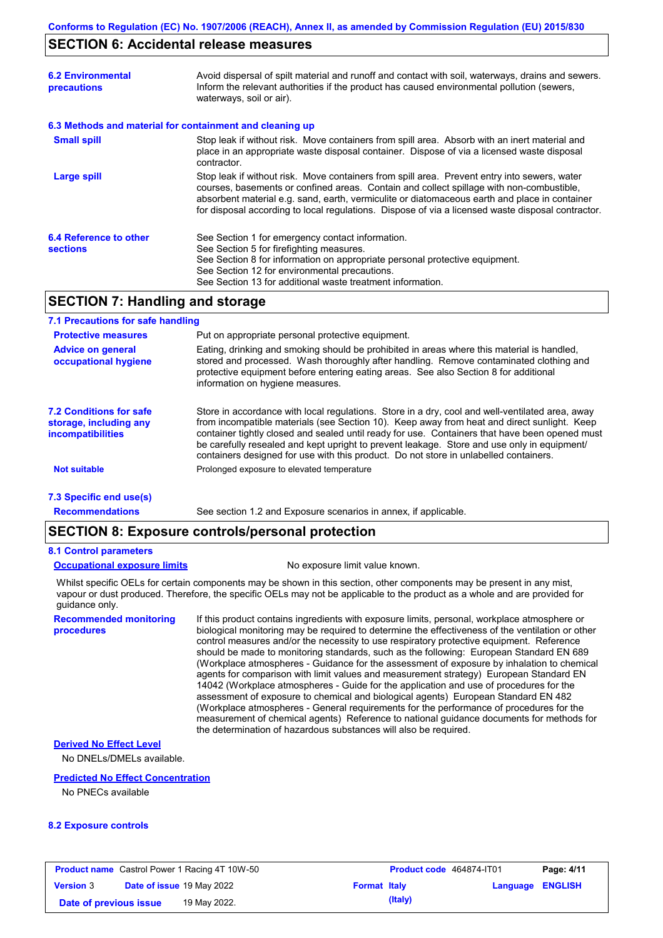### **SECTION 6: Accidental release measures**

| <b>6.2 Environmental</b><br>precautions                  | Avoid dispersal of spilt material and runoff and contact with soil, waterways, drains and sewers.<br>Inform the relevant authorities if the product has caused environmental pollution (sewers,<br>waterways, soil or air).                                                                                                                                                                    |
|----------------------------------------------------------|------------------------------------------------------------------------------------------------------------------------------------------------------------------------------------------------------------------------------------------------------------------------------------------------------------------------------------------------------------------------------------------------|
| 6.3 Methods and material for containment and cleaning up |                                                                                                                                                                                                                                                                                                                                                                                                |
| <b>Small spill</b>                                       | Stop leak if without risk. Move containers from spill area. Absorb with an inert material and<br>place in an appropriate waste disposal container. Dispose of via a licensed waste disposal<br>contractor.                                                                                                                                                                                     |
| <b>Large spill</b>                                       | Stop leak if without risk. Move containers from spill area. Prevent entry into sewers, water<br>courses, basements or confined areas. Contain and collect spillage with non-combustible,<br>absorbent material e.g. sand, earth, vermiculite or diatomaceous earth and place in container<br>for disposal according to local regulations. Dispose of via a licensed waste disposal contractor. |
| 6.4 Reference to other<br><b>sections</b>                | See Section 1 for emergency contact information.<br>See Section 5 for firefighting measures.<br>See Section 8 for information on appropriate personal protective equipment.<br>See Section 12 for environmental precautions.<br>See Section 13 for additional waste treatment information.                                                                                                     |

### **SECTION 7: Handling and storage**

#### **7.1 Precautions for safe handling**

| <b>Protective measures</b>                                                           | Put on appropriate personal protective equipment.                                                                                                                                                                                                                                                                                                                                                                                                                                        |
|--------------------------------------------------------------------------------------|------------------------------------------------------------------------------------------------------------------------------------------------------------------------------------------------------------------------------------------------------------------------------------------------------------------------------------------------------------------------------------------------------------------------------------------------------------------------------------------|
| <b>Advice on general</b><br>occupational hygiene                                     | Eating, drinking and smoking should be prohibited in areas where this material is handled,<br>stored and processed. Wash thoroughly after handling. Remove contaminated clothing and<br>protective equipment before entering eating areas. See also Section 8 for additional<br>information on hygiene measures.                                                                                                                                                                         |
| <b>7.2 Conditions for safe</b><br>storage, including any<br><i>incompatibilities</i> | Store in accordance with local requlations. Store in a dry, cool and well-ventilated area, away<br>from incompatible materials (see Section 10). Keep away from heat and direct sunlight. Keep<br>container tightly closed and sealed until ready for use. Containers that have been opened must<br>be carefully resealed and kept upright to prevent leakage. Store and use only in equipment/<br>containers designed for use with this product. Do not store in unlabelled containers. |
| <b>Not suitable</b>                                                                  | Prolonged exposure to elevated temperature                                                                                                                                                                                                                                                                                                                                                                                                                                               |
| 7.3 Specific end use(s)                                                              |                                                                                                                                                                                                                                                                                                                                                                                                                                                                                          |

See section 1.2 and Exposure scenarios in annex, if applicable.

**Recommendations**

# **SECTION 8: Exposure controls/personal protection**

#### **8.1 Control parameters**

**procedures**

#### **Occupational exposure limits** No exposure limit value known.

Whilst specific OELs for certain components may be shown in this section, other components may be present in any mist, vapour or dust produced. Therefore, the specific OELs may not be applicable to the product as a whole and are provided for guidance only.

**Recommended monitoring**  If this product contains ingredients with exposure limits, personal, workplace atmosphere or biological monitoring may be required to determine the effectiveness of the ventilation or other control measures and/or the necessity to use respiratory protective equipment. Reference should be made to monitoring standards, such as the following: European Standard EN 689 (Workplace atmospheres - Guidance for the assessment of exposure by inhalation to chemical agents for comparison with limit values and measurement strategy) European Standard EN 14042 (Workplace atmospheres - Guide for the application and use of procedures for the assessment of exposure to chemical and biological agents) European Standard EN 482 (Workplace atmospheres - General requirements for the performance of procedures for the measurement of chemical agents) Reference to national guidance documents for methods for the determination of hazardous substances will also be required.

### **Derived No Effect Level**

No DNELs/DMELs available.

#### **Predicted No Effect Concentration**

No PNECs available

#### **8.2 Exposure controls**

| <b>Product name</b> Castrol Power 1 Racing 4T 10W-50 |  |                                  | <b>Product code</b> 464874-IT01 |         | Page: 4/11              |  |
|------------------------------------------------------|--|----------------------------------|---------------------------------|---------|-------------------------|--|
| <b>Version 3</b>                                     |  | <b>Date of issue 19 May 2022</b> | <b>Format Italy</b>             |         | <b>Language ENGLISH</b> |  |
| Date of previous issue                               |  | 19 May 2022.                     |                                 | (Italy) |                         |  |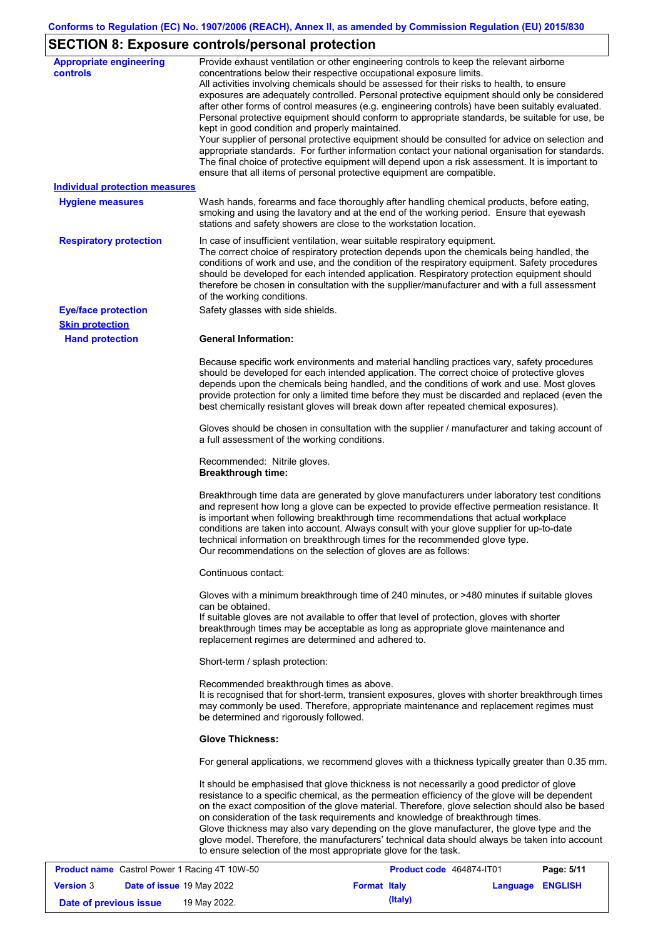# **SECTION 8: Exposure controls/personal protection**

| <b>Appropriate engineering</b><br><b>controls</b> | Provide exhaust ventilation or other engineering controls to keep the relevant airborne<br>concentrations below their respective occupational exposure limits.<br>All activities involving chemicals should be assessed for their risks to health, to ensure<br>exposures are adequately controlled. Personal protective equipment should only be considered<br>after other forms of control measures (e.g. engineering controls) have been suitably evaluated.<br>Personal protective equipment should conform to appropriate standards, be suitable for use, be<br>kept in good condition and properly maintained.<br>Your supplier of personal protective equipment should be consulted for advice on selection and<br>appropriate standards. For further information contact your national organisation for standards.<br>The final choice of protective equipment will depend upon a risk assessment. It is important to<br>ensure that all items of personal protective equipment are compatible. |
|---------------------------------------------------|---------------------------------------------------------------------------------------------------------------------------------------------------------------------------------------------------------------------------------------------------------------------------------------------------------------------------------------------------------------------------------------------------------------------------------------------------------------------------------------------------------------------------------------------------------------------------------------------------------------------------------------------------------------------------------------------------------------------------------------------------------------------------------------------------------------------------------------------------------------------------------------------------------------------------------------------------------------------------------------------------------|
| <b>Individual protection measures</b>             |                                                                                                                                                                                                                                                                                                                                                                                                                                                                                                                                                                                                                                                                                                                                                                                                                                                                                                                                                                                                         |
| <b>Hygiene measures</b>                           | Wash hands, forearms and face thoroughly after handling chemical products, before eating,<br>smoking and using the lavatory and at the end of the working period. Ensure that eyewash<br>stations and safety showers are close to the workstation location.                                                                                                                                                                                                                                                                                                                                                                                                                                                                                                                                                                                                                                                                                                                                             |
| <b>Respiratory protection</b>                     | In case of insufficient ventilation, wear suitable respiratory equipment.<br>The correct choice of respiratory protection depends upon the chemicals being handled, the<br>conditions of work and use, and the condition of the respiratory equipment. Safety procedures<br>should be developed for each intended application. Respiratory protection equipment should<br>therefore be chosen in consultation with the supplier/manufacturer and with a full assessment<br>of the working conditions.                                                                                                                                                                                                                                                                                                                                                                                                                                                                                                   |
| <b>Eye/face protection</b>                        | Safety glasses with side shields.                                                                                                                                                                                                                                                                                                                                                                                                                                                                                                                                                                                                                                                                                                                                                                                                                                                                                                                                                                       |
| <b>Skin protection</b>                            |                                                                                                                                                                                                                                                                                                                                                                                                                                                                                                                                                                                                                                                                                                                                                                                                                                                                                                                                                                                                         |
| <b>Hand protection</b>                            | <b>General Information:</b>                                                                                                                                                                                                                                                                                                                                                                                                                                                                                                                                                                                                                                                                                                                                                                                                                                                                                                                                                                             |
|                                                   | Because specific work environments and material handling practices vary, safety procedures<br>should be developed for each intended application. The correct choice of protective gloves<br>depends upon the chemicals being handled, and the conditions of work and use. Most gloves<br>provide protection for only a limited time before they must be discarded and replaced (even the<br>best chemically resistant gloves will break down after repeated chemical exposures).                                                                                                                                                                                                                                                                                                                                                                                                                                                                                                                        |
|                                                   | Gloves should be chosen in consultation with the supplier / manufacturer and taking account of<br>a full assessment of the working conditions.                                                                                                                                                                                                                                                                                                                                                                                                                                                                                                                                                                                                                                                                                                                                                                                                                                                          |
|                                                   | Recommended: Nitrile gloves.<br><b>Breakthrough time:</b>                                                                                                                                                                                                                                                                                                                                                                                                                                                                                                                                                                                                                                                                                                                                                                                                                                                                                                                                               |
|                                                   | Breakthrough time data are generated by glove manufacturers under laboratory test conditions<br>and represent how long a glove can be expected to provide effective permeation resistance. It<br>is important when following breakthrough time recommendations that actual workplace<br>conditions are taken into account. Always consult with your glove supplier for up-to-date<br>technical information on breakthrough times for the recommended glove type.<br>Our recommendations on the selection of gloves are as follows:                                                                                                                                                                                                                                                                                                                                                                                                                                                                      |
|                                                   | Continuous contact:                                                                                                                                                                                                                                                                                                                                                                                                                                                                                                                                                                                                                                                                                                                                                                                                                                                                                                                                                                                     |
|                                                   | Gloves with a minimum breakthrough time of 240 minutes, or >480 minutes if suitable gloves<br>can be obtained.<br>If suitable gloves are not available to offer that level of protection, gloves with shorter<br>breakthrough times may be acceptable as long as appropriate glove maintenance and<br>replacement regimes are determined and adhered to.                                                                                                                                                                                                                                                                                                                                                                                                                                                                                                                                                                                                                                                |
|                                                   | Short-term / splash protection:                                                                                                                                                                                                                                                                                                                                                                                                                                                                                                                                                                                                                                                                                                                                                                                                                                                                                                                                                                         |
|                                                   | Recommended breakthrough times as above.<br>It is recognised that for short-term, transient exposures, gloves with shorter breakthrough times<br>may commonly be used. Therefore, appropriate maintenance and replacement regimes must<br>be determined and rigorously followed.                                                                                                                                                                                                                                                                                                                                                                                                                                                                                                                                                                                                                                                                                                                        |
|                                                   | <b>Glove Thickness:</b>                                                                                                                                                                                                                                                                                                                                                                                                                                                                                                                                                                                                                                                                                                                                                                                                                                                                                                                                                                                 |
|                                                   | For general applications, we recommend gloves with a thickness typically greater than 0.35 mm.                                                                                                                                                                                                                                                                                                                                                                                                                                                                                                                                                                                                                                                                                                                                                                                                                                                                                                          |
|                                                   | It should be emphasised that glove thickness is not necessarily a good predictor of glove<br>resistance to a specific chemical, as the permeation efficiency of the glove will be dependent<br>on the exact composition of the glove material. Therefore, glove selection should also be based<br>on consideration of the task requirements and knowledge of breakthrough times.<br>Glove thickness may also vary depending on the glove manufacturer, the glove type and the<br>glove model. Therefore, the manufacturers' technical data should always be taken into account<br>to ensure selection of the most appropriate glove for the task.                                                                                                                                                                                                                                                                                                                                                       |

|                        |                                  | <b>Product name</b> Castrol Power 1 Racing 4T 10W-50 |                     | <b>Product code</b> 464874-IT01 |                         | Page: 5/11 |
|------------------------|----------------------------------|------------------------------------------------------|---------------------|---------------------------------|-------------------------|------------|
| <b>Version 3</b>       | <b>Date of issue 19 May 2022</b> |                                                      | <b>Format Italy</b> |                                 | <b>Language ENGLISH</b> |            |
| Date of previous issue |                                  | 19 May 2022.                                         |                     | (Italy)                         |                         |            |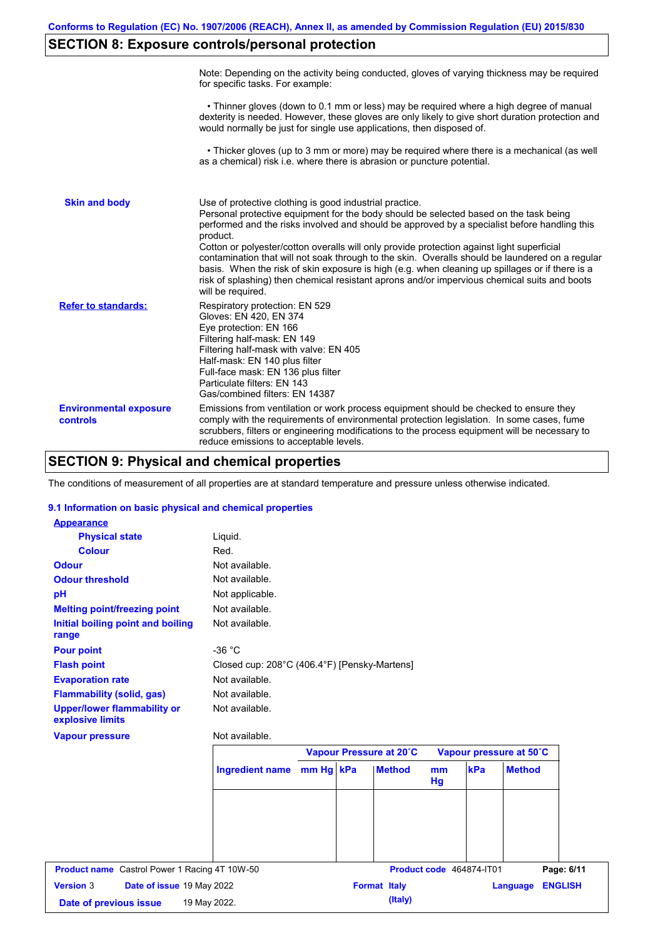# **SECTION 8: Exposure controls/personal protection**

|                                           | Note: Depending on the activity being conducted, gloves of varying thickness may be required<br>for specific tasks. For example:                                                                                                                                                                                                                                                                                                                                                                                                                                                                                                                                                      |
|-------------------------------------------|---------------------------------------------------------------------------------------------------------------------------------------------------------------------------------------------------------------------------------------------------------------------------------------------------------------------------------------------------------------------------------------------------------------------------------------------------------------------------------------------------------------------------------------------------------------------------------------------------------------------------------------------------------------------------------------|
|                                           | • Thinner gloves (down to 0.1 mm or less) may be required where a high degree of manual<br>dexterity is needed. However, these gloves are only likely to give short duration protection and<br>would normally be just for single use applications, then disposed of.                                                                                                                                                                                                                                                                                                                                                                                                                  |
|                                           | • Thicker gloves (up to 3 mm or more) may be required where there is a mechanical (as well<br>as a chemical) risk i.e. where there is abrasion or puncture potential.                                                                                                                                                                                                                                                                                                                                                                                                                                                                                                                 |
| <b>Skin and body</b>                      | Use of protective clothing is good industrial practice.<br>Personal protective equipment for the body should be selected based on the task being<br>performed and the risks involved and should be approved by a specialist before handling this<br>product.<br>Cotton or polyester/cotton overalls will only provide protection against light superficial<br>contamination that will not soak through to the skin. Overalls should be laundered on a regular<br>basis. When the risk of skin exposure is high (e.g. when cleaning up spillages or if there is a<br>risk of splashing) then chemical resistant aprons and/or impervious chemical suits and boots<br>will be required. |
| <b>Refer to standards:</b>                | Respiratory protection: EN 529<br>Gloves: EN 420, EN 374<br>Eye protection: EN 166<br>Filtering half-mask: EN 149<br>Filtering half-mask with valve: EN 405<br>Half-mask: EN 140 plus filter<br>Full-face mask: EN 136 plus filter<br>Particulate filters: EN 143<br>Gas/combined filters: EN 14387                                                                                                                                                                                                                                                                                                                                                                                   |
| <b>Environmental exposure</b><br>controls | Emissions from ventilation or work process equipment should be checked to ensure they<br>comply with the requirements of environmental protection legislation. In some cases, fume<br>scrubbers, filters or engineering modifications to the process equipment will be necessary to<br>reduce emissions to acceptable levels.                                                                                                                                                                                                                                                                                                                                                         |

# **SECTION 9: Physical and chemical properties**

The conditions of measurement of all properties are at standard temperature and pressure unless otherwise indicated.

#### **9.1 Information on basic physical and chemical properties**

| <b>Appearance</b>                                      |                                              |           |                         |                     |                          |                            |
|--------------------------------------------------------|----------------------------------------------|-----------|-------------------------|---------------------|--------------------------|----------------------------|
| <b>Physical state</b>                                  | Liquid.                                      |           |                         |                     |                          |                            |
| <b>Colour</b>                                          | Red.                                         |           |                         |                     |                          |                            |
| <b>Odour</b>                                           | Not available.                               |           |                         |                     |                          |                            |
| <b>Odour threshold</b>                                 | Not available.                               |           |                         |                     |                          |                            |
| pH                                                     | Not applicable.                              |           |                         |                     |                          |                            |
| <b>Melting point/freezing point</b>                    | Not available.                               |           |                         |                     |                          |                            |
| Initial boiling point and boiling<br>range             | Not available.                               |           |                         |                     |                          |                            |
| <b>Pour point</b>                                      | $-36 °C$                                     |           |                         |                     |                          |                            |
| <b>Flash point</b>                                     | Closed cup: 208°C (406.4°F) [Pensky-Martens] |           |                         |                     |                          |                            |
| <b>Evaporation rate</b>                                | Not available.                               |           |                         |                     |                          |                            |
| <b>Flammability (solid, gas)</b>                       | Not available.                               |           |                         |                     |                          |                            |
| <b>Upper/lower flammability or</b><br>explosive limits | Not available.                               |           |                         |                     |                          |                            |
| <b>Vapour pressure</b>                                 | Not available.                               |           |                         |                     |                          |                            |
|                                                        |                                              |           | Vapour Pressure at 20°C |                     |                          | Vapour pressure at 50°C    |
|                                                        | <b>Ingredient name</b>                       | mm Hg kPa | <b>Method</b>           | <sub>mm</sub><br>Hg | kPa                      | <b>Method</b>              |
|                                                        |                                              |           |                         |                     |                          |                            |
|                                                        |                                              |           |                         |                     |                          |                            |
|                                                        |                                              |           |                         |                     |                          |                            |
| <b>Product name</b> Castrol Power 1 Racing 4T 10W-50   |                                              |           |                         |                     | Product code 464874-IT01 | Page: 6/11                 |
| <b>Version 3</b><br>Date of issue 19 May 2022          |                                              |           | <b>Format Italy</b>     |                     |                          | <b>ENGLISH</b><br>Language |

**Date of issue** 19 May 2022 **Format Italy Language ENGLISH**

| Date of previous issue | 19 May 2022. | (Italy) |
|------------------------|--------------|---------|
|------------------------|--------------|---------|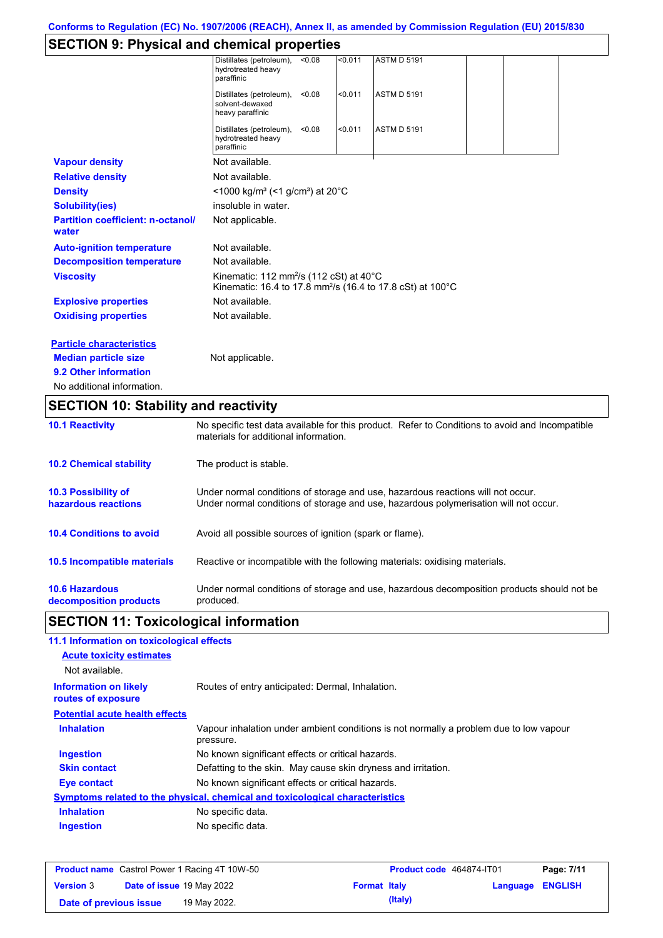# **SECTION 9: Physical and chemical properties**

|                                                   | Distillates (petroleum),<br>hydrotreated heavy<br>paraffinic    | < 0.08 | < 0.011 | <b>ASTM D 5191</b>                                                     |  |  |
|---------------------------------------------------|-----------------------------------------------------------------|--------|---------|------------------------------------------------------------------------|--|--|
|                                                   | Distillates (petroleum),<br>solvent-dewaxed<br>heavy paraffinic | < 0.08 | < 0.011 | <b>ASTM D 5191</b>                                                     |  |  |
|                                                   | Distillates (petroleum),<br>hydrotreated heavy<br>paraffinic    | < 0.08 | < 0.011 | <b>ASTM D 5191</b>                                                     |  |  |
| <b>Vapour density</b>                             | Not available.                                                  |        |         |                                                                        |  |  |
| <b>Relative density</b>                           | Not available.                                                  |        |         |                                                                        |  |  |
| <b>Density</b>                                    | <1000 kg/m <sup>3</sup> (<1 g/cm <sup>3</sup> ) at 20°C         |        |         |                                                                        |  |  |
| <b>Solubility(ies)</b>                            | insoluble in water.                                             |        |         |                                                                        |  |  |
| <b>Partition coefficient: n-octanol/</b><br>water | Not applicable.                                                 |        |         |                                                                        |  |  |
| <b>Auto-ignition temperature</b>                  | Not available.                                                  |        |         |                                                                        |  |  |
| <b>Decomposition temperature</b>                  | Not available.                                                  |        |         |                                                                        |  |  |
| <b>Viscosity</b>                                  | Kinematic: 112 mm <sup>2</sup> /s (112 cSt) at 40 $^{\circ}$ C  |        |         | Kinematic: 16.4 to 17.8 mm <sup>2</sup> /s (16.4 to 17.8 cSt) at 100°C |  |  |
| <b>Explosive properties</b>                       | Not available.                                                  |        |         |                                                                        |  |  |
| <b>Oxidising properties</b>                       | Not available.                                                  |        |         |                                                                        |  |  |
| <b>Particle characteristics</b>                   |                                                                 |        |         |                                                                        |  |  |
| <b>Median particle size</b>                       | Not applicable.                                                 |        |         |                                                                        |  |  |
| 9.2 Other information                             |                                                                 |        |         |                                                                        |  |  |
| No additional information.                        |                                                                 |        |         |                                                                        |  |  |

# **SECTION 10: Stability and reactivity**

| <b>10.1 Reactivity</b>                            | No specific test data available for this product. Refer to Conditions to avoid and Incompatible<br>materials for additional information.                                |
|---------------------------------------------------|-------------------------------------------------------------------------------------------------------------------------------------------------------------------------|
| <b>10.2 Chemical stability</b>                    | The product is stable.                                                                                                                                                  |
| <b>10.3 Possibility of</b><br>hazardous reactions | Under normal conditions of storage and use, hazardous reactions will not occur.<br>Under normal conditions of storage and use, hazardous polymerisation will not occur. |
| <b>10.4 Conditions to avoid</b>                   | Avoid all possible sources of ignition (spark or flame).                                                                                                                |
| <b>10.5 Incompatible materials</b>                | Reactive or incompatible with the following materials: oxidising materials.                                                                                             |
| <b>10.6 Hazardous</b><br>decomposition products   | Under normal conditions of storage and use, hazardous decomposition products should not be<br>produced.                                                                 |

# **SECTION 11: Toxicological information**

| 11.1 Information on toxicological effects          |                                                                                                     |
|----------------------------------------------------|-----------------------------------------------------------------------------------------------------|
| <b>Acute toxicity estimates</b>                    |                                                                                                     |
| Not available.                                     |                                                                                                     |
| <b>Information on likely</b><br>routes of exposure | Routes of entry anticipated: Dermal, Inhalation.                                                    |
| <b>Potential acute health effects</b>              |                                                                                                     |
| <b>Inhalation</b>                                  | Vapour inhalation under ambient conditions is not normally a problem due to low vapour<br>pressure. |
| <b>Ingestion</b>                                   | No known significant effects or critical hazards.                                                   |
| <b>Skin contact</b>                                | Defatting to the skin. May cause skin dryness and irritation.                                       |
| Eye contact                                        | No known significant effects or critical hazards.                                                   |
|                                                    | Symptoms related to the physical, chemical and toxicological characteristics                        |
| <b>Inhalation</b>                                  | No specific data.                                                                                   |
| <b>Ingestion</b>                                   | No specific data.                                                                                   |

|                        |                                  | <b>Product name</b> Castrol Power 1 Racing 4T 10W-50 |                     | <b>Product code</b> 464874-IT01 |                         | Page: 7/11 |
|------------------------|----------------------------------|------------------------------------------------------|---------------------|---------------------------------|-------------------------|------------|
| <b>Version 3</b>       | <b>Date of issue 19 May 2022</b> |                                                      | <b>Format Italy</b> |                                 | <b>Language ENGLISH</b> |            |
| Date of previous issue |                                  | 19 May 2022.                                         |                     | (Italy)                         |                         |            |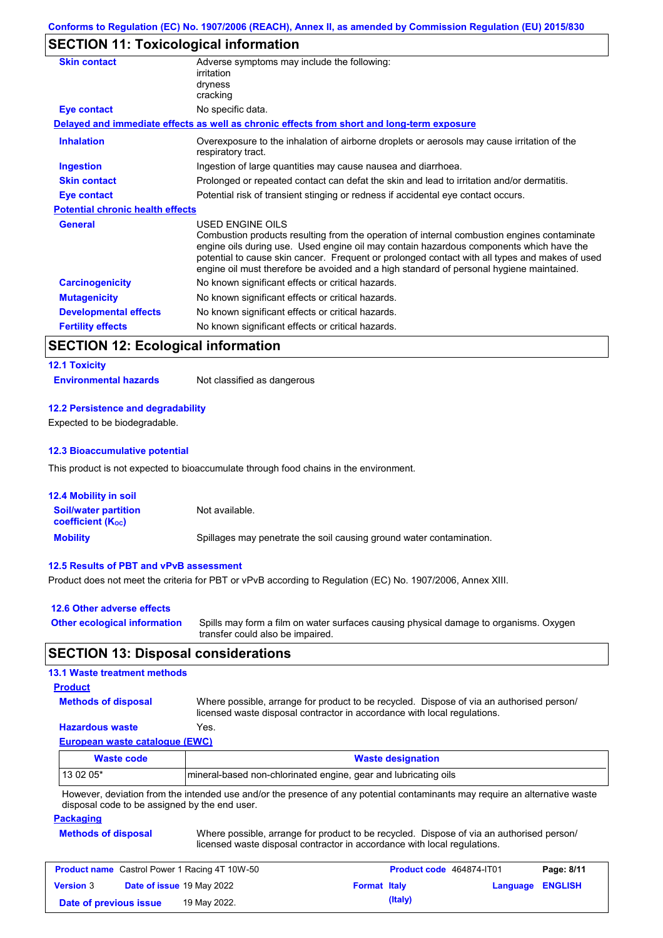# **SECTION 11: Toxicological information**

| <b>Skin contact</b>                     | Adverse symptoms may include the following:<br>irritation                                                                                                                                                                                                                                                                                                                                                       |
|-----------------------------------------|-----------------------------------------------------------------------------------------------------------------------------------------------------------------------------------------------------------------------------------------------------------------------------------------------------------------------------------------------------------------------------------------------------------------|
|                                         | dryness                                                                                                                                                                                                                                                                                                                                                                                                         |
|                                         | cracking                                                                                                                                                                                                                                                                                                                                                                                                        |
| <b>Eye contact</b>                      | No specific data.                                                                                                                                                                                                                                                                                                                                                                                               |
|                                         | Delayed and immediate effects as well as chronic effects from short and long-term exposure                                                                                                                                                                                                                                                                                                                      |
| <b>Inhalation</b>                       | Overexposure to the inhalation of airborne droplets or aerosols may cause irritation of the<br>respiratory tract.                                                                                                                                                                                                                                                                                               |
| <b>Ingestion</b>                        | Ingestion of large quantities may cause nausea and diarrhoea.                                                                                                                                                                                                                                                                                                                                                   |
| <b>Skin contact</b>                     | Prolonged or repeated contact can defat the skin and lead to irritation and/or dermatitis.                                                                                                                                                                                                                                                                                                                      |
| Eye contact                             | Potential risk of transient stinging or redness if accidental eye contact occurs.                                                                                                                                                                                                                                                                                                                               |
| <b>Potential chronic health effects</b> |                                                                                                                                                                                                                                                                                                                                                                                                                 |
| <b>General</b>                          | <b>USED ENGINE OILS</b><br>Combustion products resulting from the operation of internal combustion engines contaminate<br>engine oils during use. Used engine oil may contain hazardous components which have the<br>potential to cause skin cancer. Frequent or prolonged contact with all types and makes of used<br>engine oil must therefore be avoided and a high standard of personal hygiene maintained. |
| <b>Carcinogenicity</b>                  | No known significant effects or critical hazards.                                                                                                                                                                                                                                                                                                                                                               |
| <b>Mutagenicity</b>                     | No known significant effects or critical hazards.                                                                                                                                                                                                                                                                                                                                                               |
| <b>Developmental effects</b>            | No known significant effects or critical hazards.                                                                                                                                                                                                                                                                                                                                                               |
| <b>Fertility effects</b>                | No known significant effects or critical hazards.                                                                                                                                                                                                                                                                                                                                                               |
|                                         |                                                                                                                                                                                                                                                                                                                                                                                                                 |

## **SECTION 12: Ecological information**

# **12.1 Toxicity**

**Environmental hazards** Not classified as dangerous

#### **12.2 Persistence and degradability**

Expected to be biodegradable.

#### **12.3 Bioaccumulative potential**

This product is not expected to bioaccumulate through food chains in the environment.

| <b>12.4 Mobility in soil</b>                            |                                                                      |
|---------------------------------------------------------|----------------------------------------------------------------------|
| <b>Soil/water partition</b><br><b>coefficient (Koc)</b> | Not available.                                                       |
| <b>Mobility</b>                                         | Spillages may penetrate the soil causing ground water contamination. |

#### **12.5 Results of PBT and vPvB assessment**

Product does not meet the criteria for PBT or vPvB according to Regulation (EC) No. 1907/2006, Annex XIII.

| 12.6 Other adverse effects          |                                                                                                                           |
|-------------------------------------|---------------------------------------------------------------------------------------------------------------------------|
| <b>Other ecological information</b> | Spills may form a film on water surfaces causing physical damage to organisms. Oxygen<br>transfer could also be impaired. |

## **SECTION 13: Disposal considerations**

#### **13.1 Waste treatment methods**

| <b>Product</b>             |                |
|----------------------------|----------------|
| <b>Methods of disposal</b> | Where possible |
|                            | licensed waste |

 $\mathsf{Ie}_{\mathsf{r}}$  arrange for product to be recycled. Dispose of via an authorised person/ e disposal contractor in accordance with local regulations.

## **Hazardous waste** Yes.

**European waste catalogue (EWC) Waste code Waste designation** 13 02 05\* mineral-based non-chlorinated engine, gear and lubricating oils

However, deviation from the intended use and/or the presence of any potential contaminants may require an alternative waste disposal code to be assigned by the end user.

#### **Packaging**

| <b>Methods of disposal</b> | Where possible, arrange for product to be recycled. Dispose of via an authorised person/ |
|----------------------------|------------------------------------------------------------------------------------------|
|                            | licensed waste disposal contractor in accordance with local regulations.                 |

| <b>Product name</b> Castrol Power 1 Racing 4T 10W-50 |                           | <b>Product code</b> 464874-IT01 |                     | Page: 8/11 |                         |  |
|------------------------------------------------------|---------------------------|---------------------------------|---------------------|------------|-------------------------|--|
| <b>Version 3</b>                                     | Date of issue 19 May 2022 |                                 | <b>Format Italy</b> |            | <b>Language ENGLISH</b> |  |
| Date of previous issue                               |                           | 19 May 2022.                    |                     | (Italy)    |                         |  |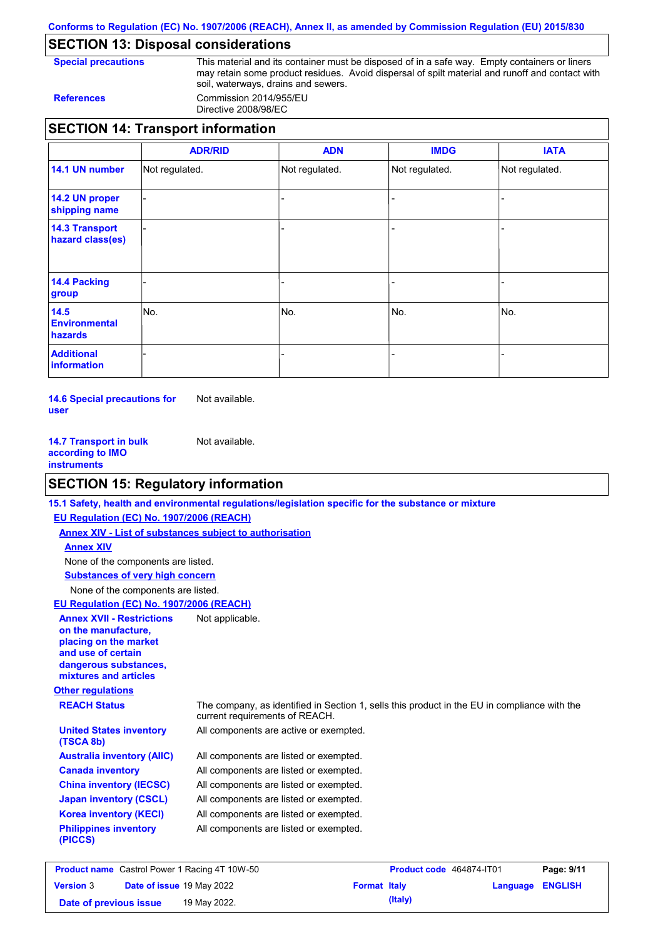**Conforms to Regulation (EC) No. 1907/2006 (REACH), Annex II, as amended by Commission Regulation (EU) 2015/830**

## **SECTION 13: Disposal considerations**

**Special precautions** This material and its container must be disposed of in a safe way. Empty containers or liners may retain some product residues. Avoid dispersal of spilt material and runoff and contact with soil, waterways, drains and sewers. **References** Commission 2014/955/EU

Directive 2008/98/EC

## **SECTION 14: Transport information**

|                                                | <b>ADR/RID</b> | <b>ADN</b>     | <b>IMDG</b>    | <b>IATA</b>    |  |
|------------------------------------------------|----------------|----------------|----------------|----------------|--|
| 14.1 UN number                                 | Not regulated. | Not regulated. | Not regulated. | Not regulated. |  |
| 14.2 UN proper<br>shipping name                |                |                |                |                |  |
| <b>14.3 Transport</b><br>hazard class(es)      |                |                |                |                |  |
| <b>14.4 Packing</b><br>group                   |                |                |                |                |  |
| 14.5<br><b>Environmental</b><br><b>hazards</b> | No.            | No.            | No.            | No.            |  |
| <b>Additional</b><br>information               |                |                |                |                |  |

**14.6 Special precautions for user** Not available.

**14.7 Transport in bulk according to IMO instruments** Not available.

# **SECTION 15: Regulatory information**

|                                                                                                                                                          | 15.1 Safety, health and environmental regulations/legislation specific for the substance or mixture                            |
|----------------------------------------------------------------------------------------------------------------------------------------------------------|--------------------------------------------------------------------------------------------------------------------------------|
| EU Regulation (EC) No. 1907/2006 (REACH)                                                                                                                 |                                                                                                                                |
| <b>Annex XIV - List of substances subject to authorisation</b>                                                                                           |                                                                                                                                |
| <b>Annex XIV</b>                                                                                                                                         |                                                                                                                                |
| None of the components are listed.                                                                                                                       |                                                                                                                                |
| <b>Substances of very high concern</b>                                                                                                                   |                                                                                                                                |
| None of the components are listed.                                                                                                                       |                                                                                                                                |
| EU Regulation (EC) No. 1907/2006 (REACH)                                                                                                                 |                                                                                                                                |
| <b>Annex XVII - Restrictions</b><br>on the manufacture.<br>placing on the market<br>and use of certain<br>dangerous substances,<br>mixtures and articles | Not applicable.                                                                                                                |
| <b>Other regulations</b>                                                                                                                                 |                                                                                                                                |
| <b>REACH Status</b>                                                                                                                                      | The company, as identified in Section 1, sells this product in the EU in compliance with the<br>current requirements of REACH. |
| <b>United States inventory</b><br>(TSCA 8b)                                                                                                              | All components are active or exempted.                                                                                         |
| <b>Australia inventory (AIIC)</b>                                                                                                                        | All components are listed or exempted.                                                                                         |
| <b>Canada inventory</b>                                                                                                                                  | All components are listed or exempted.                                                                                         |
| <b>China inventory (IECSC)</b>                                                                                                                           | All components are listed or exempted.                                                                                         |
| <b>Japan inventory (CSCL)</b>                                                                                                                            | All components are listed or exempted.                                                                                         |
| <b>Korea inventory (KECI)</b>                                                                                                                            | All components are listed or exempted.                                                                                         |
| <b>Philippines inventory</b><br>(PICCS)                                                                                                                  | All components are listed or exempted.                                                                                         |
| $\sim$ $\sim$ $\sim$                                                                                                                                     | $\sim$ $\sim$ $\sim$ $\sim$ $\sim$ $\sim$ $\sim$ $\sim$                                                                        |

**Product name** Castrol Power 1 Racing 4T 10W-50 **Product code 464874-IT01 Page: 9/11 Version** 3 **Date of issue** 19 May 2022 **Format Italy Language ENGLISH Date of previous issue 19 May 2022. Conservery and Structure (Italy) (Italy)**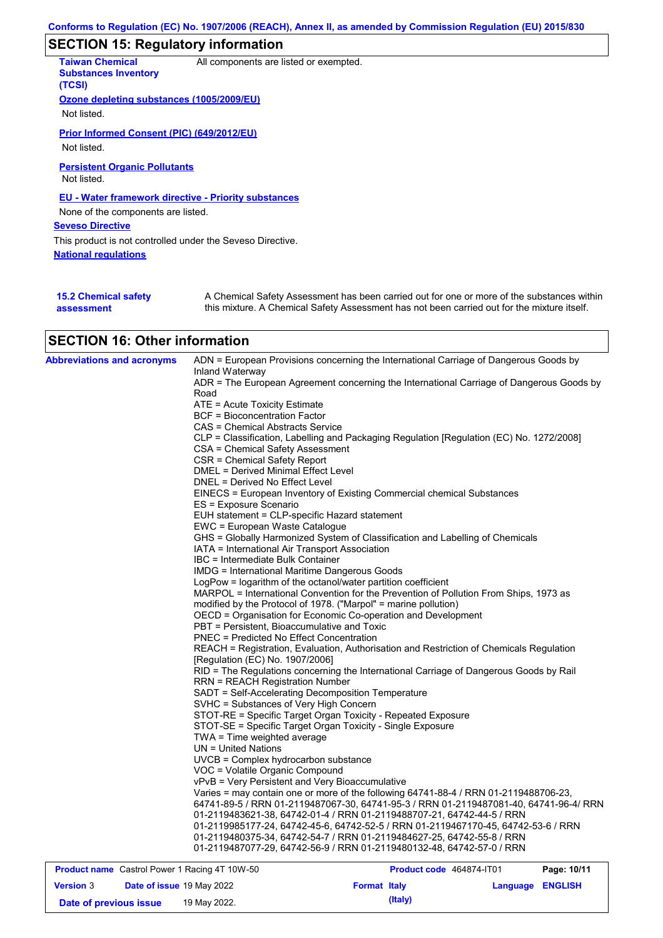# **SECTION 15: Regulatory information**

| <b>Taiwan Chemical</b><br><b>Substances Inventory</b><br>(TCSI) | All components are listed or exempted. |  |
|-----------------------------------------------------------------|----------------------------------------|--|
| Ozone depleting substances (1005/2009/EU)                       |                                        |  |
| Not listed.                                                     |                                        |  |
| Prior Informed Consent (PIC) (649/2012/EU)                      |                                        |  |
| Not listed.                                                     |                                        |  |
| <b>Persistent Organic Pollutants</b>                            |                                        |  |
| Not listed.                                                     |                                        |  |
| EU - Water framework directive - Priority substances            |                                        |  |
| None of the components are listed.                              |                                        |  |
| <b>Seveso Directive</b>                                         |                                        |  |
| This product is not controlled under the Seveso Directive.      |                                        |  |
| <b>National regulations</b>                                     |                                        |  |
|                                                                 |                                        |  |
|                                                                 |                                        |  |

**15.2 Chemical safety assessment** A Chemical Safety Assessment has been carried out for one or more of the substances within this mixture. A Chemical Safety Assessment has not been carried out for the mixture itself.

# **SECTION 16: Other information**

| <b>Abbreviations and acronyms</b> | ADN = European Provisions concerning the International Carriage of Dangerous Goods by<br>Inland Waterway |
|-----------------------------------|----------------------------------------------------------------------------------------------------------|
|                                   | ADR = The European Agreement concerning the International Carriage of Dangerous Goods by                 |
|                                   | Road                                                                                                     |
|                                   | ATE = Acute Toxicity Estimate                                                                            |
|                                   | <b>BCF</b> = Bioconcentration Factor                                                                     |
|                                   | CAS = Chemical Abstracts Service                                                                         |
|                                   | CLP = Classification, Labelling and Packaging Regulation [Regulation (EC) No. 1272/2008]                 |
|                                   | CSA = Chemical Safety Assessment                                                                         |
|                                   | <b>CSR = Chemical Safety Report</b>                                                                      |
|                                   | DMEL = Derived Minimal Effect Level                                                                      |
|                                   | DNEL = Derived No Effect Level                                                                           |
|                                   | EINECS = European Inventory of Existing Commercial chemical Substances                                   |
|                                   | ES = Exposure Scenario                                                                                   |
|                                   | EUH statement = CLP-specific Hazard statement                                                            |
|                                   | EWC = European Waste Catalogue                                                                           |
|                                   | GHS = Globally Harmonized System of Classification and Labelling of Chemicals                            |
|                                   | IATA = International Air Transport Association                                                           |
|                                   | IBC = Intermediate Bulk Container                                                                        |
|                                   | <b>IMDG = International Maritime Dangerous Goods</b>                                                     |
|                                   | LogPow = logarithm of the octanol/water partition coefficient                                            |
|                                   | MARPOL = International Convention for the Prevention of Pollution From Ships, 1973 as                    |
|                                   | modified by the Protocol of 1978. ("Marpol" = marine pollution)                                          |
|                                   | OECD = Organisation for Economic Co-operation and Development                                            |
|                                   | PBT = Persistent, Bioaccumulative and Toxic                                                              |
|                                   | <b>PNEC</b> = Predicted No Effect Concentration                                                          |
|                                   | REACH = Registration, Evaluation, Authorisation and Restriction of Chemicals Regulation                  |
|                                   | [Regulation (EC) No. 1907/2006]                                                                          |
|                                   | RID = The Regulations concerning the International Carriage of Dangerous Goods by Rail                   |
|                                   | <b>RRN = REACH Registration Number</b>                                                                   |
|                                   | SADT = Self-Accelerating Decomposition Temperature                                                       |
|                                   | SVHC = Substances of Very High Concern                                                                   |
|                                   | STOT-RE = Specific Target Organ Toxicity - Repeated Exposure                                             |
|                                   | STOT-SE = Specific Target Organ Toxicity - Single Exposure                                               |
|                                   | TWA = Time weighted average                                                                              |
|                                   | $UN = United Nations$                                                                                    |
|                                   | UVCB = Complex hydrocarbon substance                                                                     |
|                                   | VOC = Volatile Organic Compound                                                                          |
|                                   | vPvB = Very Persistent and Very Bioaccumulative                                                          |
|                                   | Varies = may contain one or more of the following 64741-88-4 / RRN 01-2119488706-23,                     |
|                                   | 64741-89-5 / RRN 01-2119487067-30, 64741-95-3 / RRN 01-2119487081-40, 64741-96-4/ RRN                    |
|                                   | 01-2119483621-38, 64742-01-4 / RRN 01-2119488707-21, 64742-44-5 / RRN                                    |
|                                   | 01-2119985177-24, 64742-45-6, 64742-52-5 / RRN 01-2119467170-45, 64742-53-6 / RRN                        |
|                                   | 01-2119480375-34, 64742-54-7 / RRN 01-2119484627-25, 64742-55-8 / RRN                                    |
|                                   | 01-2119487077-29, 64742-56-9 / RRN 01-2119480132-48, 64742-57-0 / RRN                                    |

| <b>Product name</b> Castrol Power 1 Racing 4T 10W-50 |                                  | <b>Product code</b> 464874-IT01 |                     | Page: 10/11 |                         |  |
|------------------------------------------------------|----------------------------------|---------------------------------|---------------------|-------------|-------------------------|--|
| <b>Version 3</b>                                     | <b>Date of issue 19 May 2022</b> |                                 | <b>Format Italy</b> |             | <b>Language ENGLISH</b> |  |
| Date of previous issue                               |                                  | 19 May 2022.                    |                     | (Italy)     |                         |  |